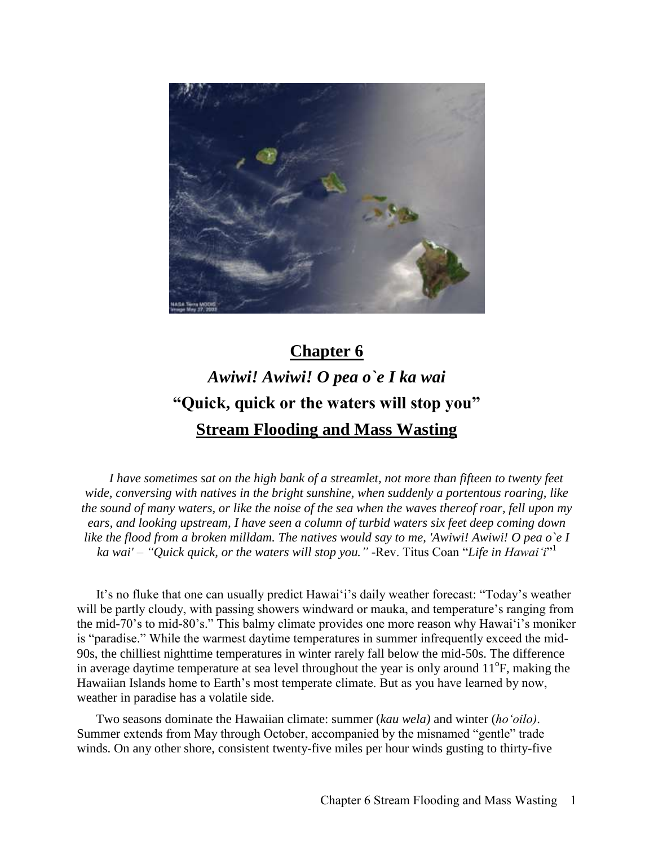

# **Chapter 6** *Awiwi! Awiwi! O pea o`e I ka wai* **"Quick, quick or the waters will stop you" Stream Flooding and Mass Wasting**

*I have sometimes sat on the high bank of a streamlet, not more than fifteen to twenty feet wide, conversing with natives in the bright sunshine, when suddenly a portentous roaring, like the sound of many waters, or like the noise of the sea when the waves thereof roar, fell upon my ears, and looking upstream, I have seen a column of turbid waters six feet deep coming down like the flood from a broken milldam. The natives would say to me, 'Awiwi! Awiwi! O pea o`e I ka wai' – "Quick quick, or the waters will stop you." -*Rev. Titus Coan "*Life in Hawai"i*" 1

It's no fluke that one can usually predict Hawai'i's daily weather forecast: "Today's weather will be partly cloudy, with passing showers windward or mauka, and temperature's ranging from the mid-70"s to mid-80"s." This balmy climate provides one more reason why Hawai"i"s moniker is "paradise." While the warmest daytime temperatures in summer infrequently exceed the mid-90s, the chilliest nighttime temperatures in winter rarely fall below the mid-50s. The difference in average daytime temperature at sea level throughout the year is only around  $11^{\circ}$ F, making the Hawaiian Islands home to Earth"s most temperate climate. But as you have learned by now, weather in paradise has a volatile side.

Two seasons dominate the Hawaiian climate: summer (*kau wela)* and winter (*ho"oilo)*. Summer extends from May through October, accompanied by the misnamed "gentle" trade winds. On any other shore, consistent twenty-five miles per hour winds gusting to thirty-five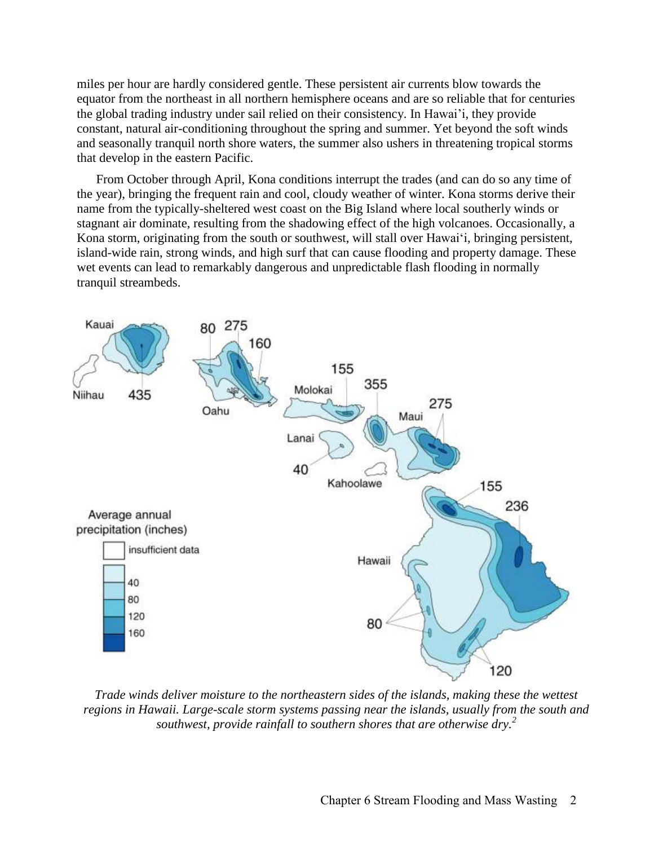miles per hour are hardly considered gentle. These persistent air currents blow towards the equator from the northeast in all northern hemisphere oceans and are so reliable that for centuries the global trading industry under sail relied on their consistency. In Hawai"i, they provide constant, natural air-conditioning throughout the spring and summer. Yet beyond the soft winds and seasonally tranquil north shore waters, the summer also ushers in threatening tropical storms that develop in the eastern Pacific.

From October through April, Kona conditions interrupt the trades (and can do so any time of the year), bringing the frequent rain and cool, cloudy weather of winter. Kona storms derive their name from the typically-sheltered west coast on the Big Island where local southerly winds or stagnant air dominate, resulting from the shadowing effect of the high volcanoes. Occasionally, a Kona storm, originating from the south or southwest, will stall over Hawai"i, bringing persistent, island-wide rain, strong winds, and high surf that can cause flooding and property damage. These wet events can lead to remarkably dangerous and unpredictable flash flooding in normally tranquil streambeds.



*Trade winds deliver moisture to the northeastern sides of the islands, making these the wettest regions in Hawaii. Large-scale storm systems passing near the islands, usually from the south and southwest, provide rainfall to southern shores that are otherwise dry. 2*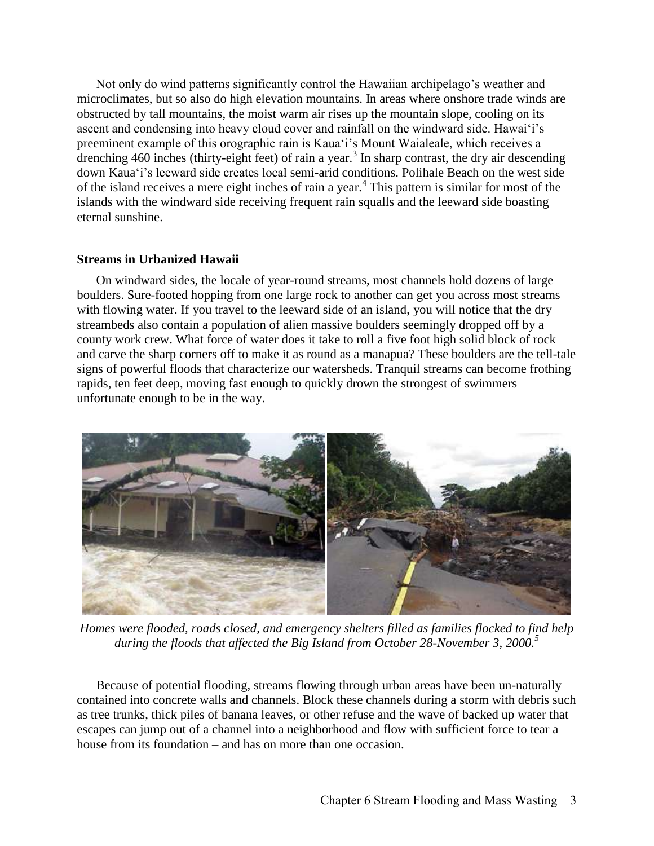Not only do wind patterns significantly control the Hawaiian archipelago"s weather and microclimates, but so also do high elevation mountains. In areas where onshore trade winds are obstructed by tall mountains, the moist warm air rises up the mountain slope, cooling on its ascent and condensing into heavy cloud cover and rainfall on the windward side. Hawai'i's preeminent example of this orographic rain is Kaua"i"s Mount Waialeale, which receives a drenching  $460$  inches (thirty-eight feet) of rain a year.<sup>3</sup> In sharp contrast, the dry air descending down Kaua'i's leeward side creates local semi-arid conditions. Polihale Beach on the west side of the island receives a mere eight inches of rain a year.<sup>4</sup> This pattern is similar for most of the islands with the windward side receiving frequent rain squalls and the leeward side boasting eternal sunshine.

# **Streams in Urbanized Hawaii**

On windward sides, the locale of year-round streams, most channels hold dozens of large boulders. Sure-footed hopping from one large rock to another can get you across most streams with flowing water. If you travel to the leeward side of an island, you will notice that the dry streambeds also contain a population of alien massive boulders seemingly dropped off by a county work crew. What force of water does it take to roll a five foot high solid block of rock and carve the sharp corners off to make it as round as a manapua? These boulders are the tell-tale signs of powerful floods that characterize our watersheds. Tranquil streams can become frothing rapids, ten feet deep, moving fast enough to quickly drown the strongest of swimmers unfortunate enough to be in the way.



*Homes were flooded, roads closed, and emergency shelters filled as families flocked to find help during the floods that affected the Big Island from October 28-November 3, 2000.<sup>5</sup>*

Because of potential flooding, streams flowing through urban areas have been un-naturally contained into concrete walls and channels. Block these channels during a storm with debris such as tree trunks, thick piles of banana leaves, or other refuse and the wave of backed up water that escapes can jump out of a channel into a neighborhood and flow with sufficient force to tear a house from its foundation – and has on more than one occasion.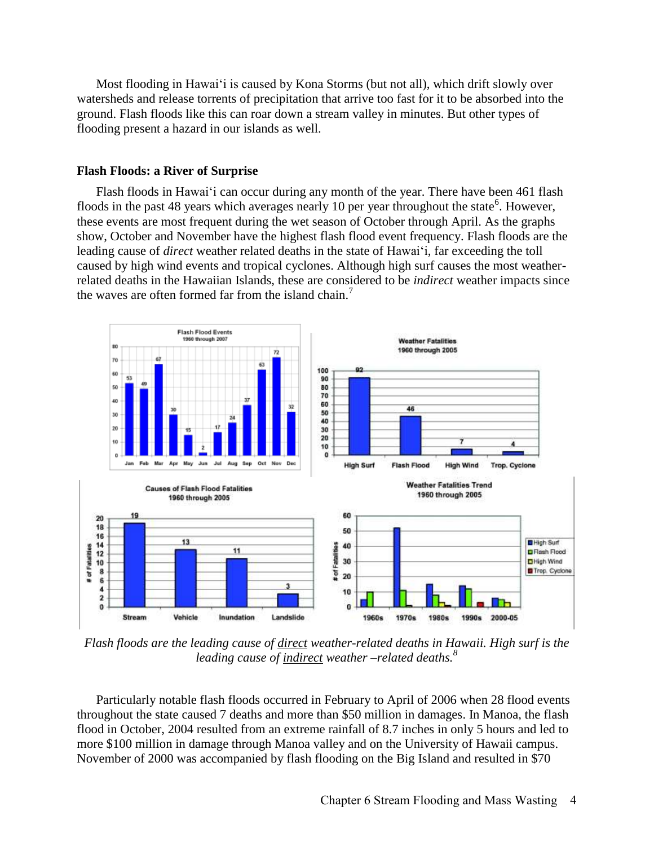Most flooding in Hawai"i is caused by Kona Storms (but not all), which drift slowly over watersheds and release torrents of precipitation that arrive too fast for it to be absorbed into the ground. Flash floods like this can roar down a stream valley in minutes. But other types of flooding present a hazard in our islands as well.

## **Flash Floods: a River of Surprise**

Flash floods in Hawai'i can occur during any month of the year. There have been 461 flash floods in the past 48 years which averages nearly 10 per year throughout the state<sup>6</sup>. However, these events are most frequent during the wet season of October through April. As the graphs show, October and November have the highest flash flood event frequency. Flash floods are the leading cause of *direct* weather related deaths in the state of Hawai"i, far exceeding the toll caused by high wind events and tropical cyclones. Although high surf causes the most weatherrelated deaths in the Hawaiian Islands, these are considered to be *indirect* weather impacts since the waves are often formed far from the island chain.<sup>7</sup>



*Flash floods are the leading cause of direct weather-related deaths in Hawaii. High surf is the leading cause of indirect weather –related deaths.<sup>8</sup>*

Particularly notable flash floods occurred in February to April of 2006 when 28 flood events throughout the state caused 7 deaths and more than \$50 million in damages. In Manoa, the flash flood in October, 2004 resulted from an extreme rainfall of 8.7 inches in only 5 hours and led to more \$100 million in damage through Manoa valley and on the University of Hawaii campus. November of 2000 was accompanied by flash flooding on the Big Island and resulted in \$70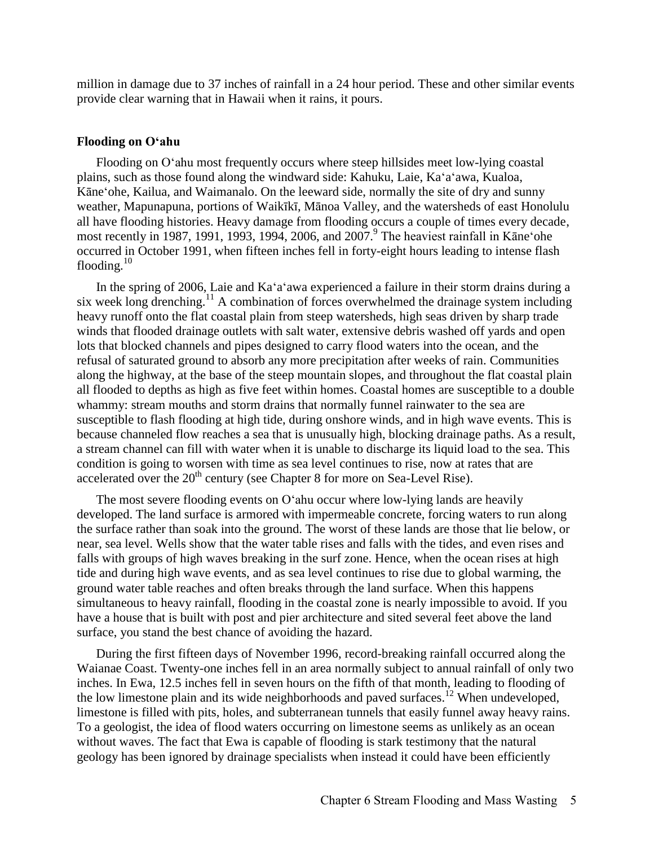million in damage due to 37 inches of rainfall in a 24 hour period. These and other similar events provide clear warning that in Hawaii when it rains, it pours.

# **Flooding on O"ahu**

Flooding on O"ahu most frequently occurs where steep hillsides meet low-lying coastal plains, such as those found along the windward side: Kahuku, Laie, Ka"a"awa, Kualoa, Kāne"ohe, Kailua, and Waimanalo. On the leeward side, normally the site of dry and sunny weather, Mapunapuna, portions of Waikīkī, Mānoa Valley, and the watersheds of east Honolulu all have flooding histories. Heavy damage from flooding occurs a couple of times every decade, most recently in 1987, 1991, 1993, 1994, 2006, and 2007. 9 The heaviest rainfall in Kāne"ohe occurred in October 1991, when fifteen inches fell in forty-eight hours leading to intense flash flooding.<sup>10</sup>

In the spring of 2006, Laie and Ka"a"awa experienced a failure in their storm drains during a six week long drenching.<sup>11</sup> A combination of forces overwhelmed the drainage system including heavy runoff onto the flat coastal plain from steep watersheds, high seas driven by sharp trade winds that flooded drainage outlets with salt water, extensive debris washed off yards and open lots that blocked channels and pipes designed to carry flood waters into the ocean, and the refusal of saturated ground to absorb any more precipitation after weeks of rain. Communities along the highway, at the base of the steep mountain slopes, and throughout the flat coastal plain all flooded to depths as high as five feet within homes. Coastal homes are susceptible to a double whammy: stream mouths and storm drains that normally funnel rainwater to the sea are susceptible to flash flooding at high tide, during onshore winds, and in high wave events. This is because channeled flow reaches a sea that is unusually high, blocking drainage paths. As a result, a stream channel can fill with water when it is unable to discharge its liquid load to the sea. This condition is going to worsen with time as sea level continues to rise, now at rates that are accelerated over the  $20<sup>th</sup>$  century (see Chapter 8 for more on Sea-Level Rise).

The most severe flooding events on O"ahu occur where low-lying lands are heavily developed. The land surface is armored with impermeable concrete, forcing waters to run along the surface rather than soak into the ground. The worst of these lands are those that lie below, or near, sea level. Wells show that the water table rises and falls with the tides, and even rises and falls with groups of high waves breaking in the surf zone. Hence, when the ocean rises at high tide and during high wave events, and as sea level continues to rise due to global warming, the ground water table reaches and often breaks through the land surface. When this happens simultaneous to heavy rainfall, flooding in the coastal zone is nearly impossible to avoid. If you have a house that is built with post and pier architecture and sited several feet above the land surface, you stand the best chance of avoiding the hazard.

During the first fifteen days of November 1996, record-breaking rainfall occurred along the Waianae Coast. Twenty-one inches fell in an area normally subject to annual rainfall of only two inches. In Ewa, 12.5 inches fell in seven hours on the fifth of that month, leading to flooding of the low limestone plain and its wide neighborhoods and paved surfaces.<sup>12</sup> When undeveloped, limestone is filled with pits, holes, and subterranean tunnels that easily funnel away heavy rains. To a geologist, the idea of flood waters occurring on limestone seems as unlikely as an ocean without waves. The fact that Ewa is capable of flooding is stark testimony that the natural geology has been ignored by drainage specialists when instead it could have been efficiently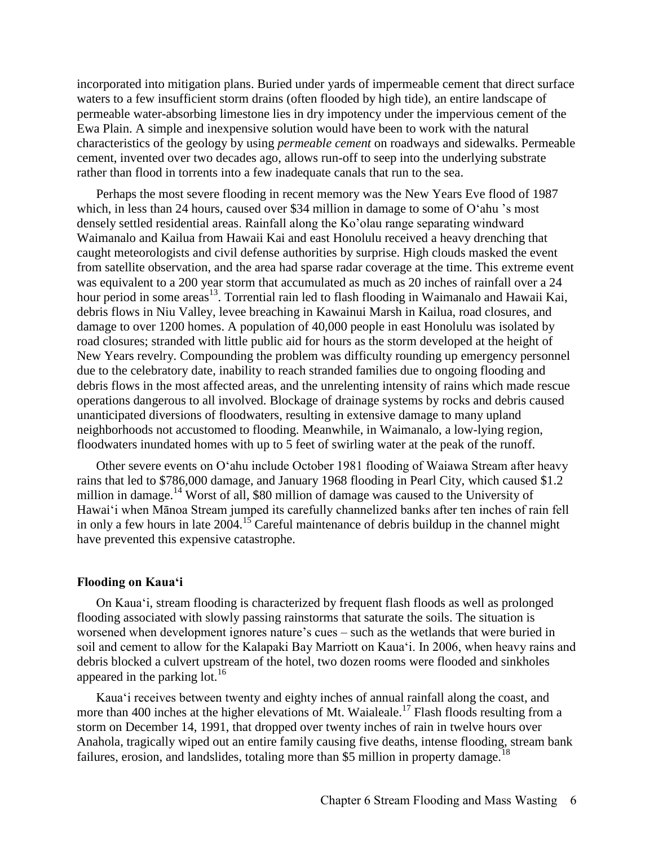incorporated into mitigation plans. Buried under yards of impermeable cement that direct surface waters to a few insufficient storm drains (often flooded by high tide), an entire landscape of permeable water-absorbing limestone lies in dry impotency under the impervious cement of the Ewa Plain. A simple and inexpensive solution would have been to work with the natural characteristics of the geology by using *permeable cement* on roadways and sidewalks. Permeable cement, invented over two decades ago, allows run-off to seep into the underlying substrate rather than flood in torrents into a few inadequate canals that run to the sea.

Perhaps the most severe flooding in recent memory was the New Years Eve flood of 1987 which, in less than 24 hours, caused over \$34 million in damage to some of O'ahu 's most densely settled residential areas. Rainfall along the Ko"olau range separating windward Waimanalo and Kailua from Hawaii Kai and east Honolulu received a heavy drenching that caught meteorologists and civil defense authorities by surprise. High clouds masked the event from satellite observation, and the area had sparse radar coverage at the time. This extreme event was equivalent to a 200 year storm that accumulated as much as 20 inches of rainfall over a 24 hour period in some areas<sup>13</sup>. Torrential rain led to flash flooding in Waimanalo and Hawaii Kai, debris flows in Niu Valley, levee breaching in Kawainui Marsh in Kailua, road closures, and damage to over 1200 homes. A population of 40,000 people in east Honolulu was isolated by road closures; stranded with little public aid for hours as the storm developed at the height of New Years revelry. Compounding the problem was difficulty rounding up emergency personnel due to the celebratory date, inability to reach stranded families due to ongoing flooding and debris flows in the most affected areas, and the unrelenting intensity of rains which made rescue operations dangerous to all involved. Blockage of drainage systems by rocks and debris caused unanticipated diversions of floodwaters, resulting in extensive damage to many upland neighborhoods not accustomed to flooding. Meanwhile, in Waimanalo, a low-lying region, floodwaters inundated homes with up to 5 feet of swirling water at the peak of the runoff.

Other severe events on O"ahu include October 1981 flooding of Waiawa Stream after heavy rains that led to \$786,000 damage, and January 1968 flooding in Pearl City, which caused \$1.2 million in damage.<sup>14</sup> Worst of all, \$80 million of damage was caused to the University of Hawai"i when Mānoa Stream jumped its carefully channelized banks after ten inches of rain fell in only a few hours in late  $2004$ .<sup>15</sup> Careful maintenance of debris buildup in the channel might have prevented this expensive catastrophe.

## **Flooding on Kaua"i**

On Kaua"i, stream flooding is characterized by frequent flash floods as well as prolonged flooding associated with slowly passing rainstorms that saturate the soils. The situation is worsened when development ignores nature's cues – such as the wetlands that were buried in soil and cement to allow for the Kalapaki Bay Marriott on Kaua'i. In 2006, when heavy rains and debris blocked a culvert upstream of the hotel, two dozen rooms were flooded and sinkholes appeared in the parking  $10t$ .<sup>16</sup>

Kaua"i receives between twenty and eighty inches of annual rainfall along the coast, and more than 400 inches at the higher elevations of Mt. Waialeale.<sup>17</sup> Flash floods resulting from a storm on December 14, 1991, that dropped over twenty inches of rain in twelve hours over Anahola, tragically wiped out an entire family causing five deaths, intense flooding, stream bank failures, erosion, and landslides, totaling more than \$5 million in property damage.<sup>1</sup>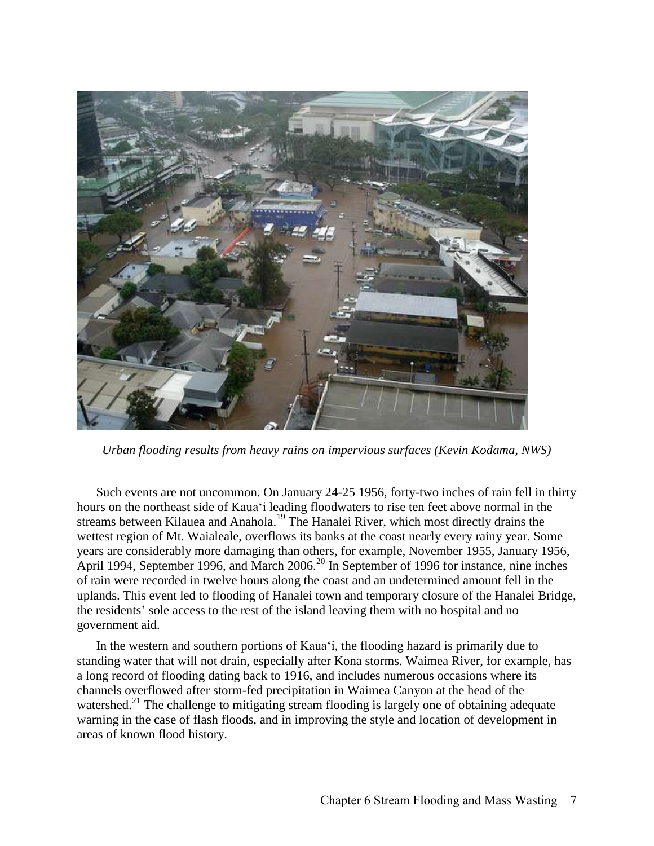

*Urban flooding results from heavy rains on impervious surfaces (Kevin Kodama, NWS)*

Such events are not uncommon. On January 24-25 1956, forty-two inches of rain fell in thirty hours on the northeast side of Kaua'i leading floodwaters to rise ten feet above normal in the streams between Kilauea and Anahola.<sup>19</sup> The Hanalei River, which most directly drains the wettest region of Mt. Waialeale, overflows its banks at the coast nearly every rainy year. Some years are considerably more damaging than others, for example, November 1955, January 1956, April 1994, September 1996, and March 2006.<sup>20</sup> In September of 1996 for instance, nine inches of rain were recorded in twelve hours along the coast and an undetermined amount fell in the uplands. This event led to flooding of Hanalei town and temporary closure of the Hanalei Bridge, the residents" sole access to the rest of the island leaving them with no hospital and no government aid.

In the western and southern portions of Kaua"i, the flooding hazard is primarily due to standing water that will not drain, especially after Kona storms. Waimea River, for example, has a long record of flooding dating back to 1916, and includes numerous occasions where its channels overflowed after storm-fed precipitation in Waimea Canyon at the head of the watershed.<sup>21</sup> The challenge to mitigating stream flooding is largely one of obtaining adequate warning in the case of flash floods, and in improving the style and location of development in areas of known flood history.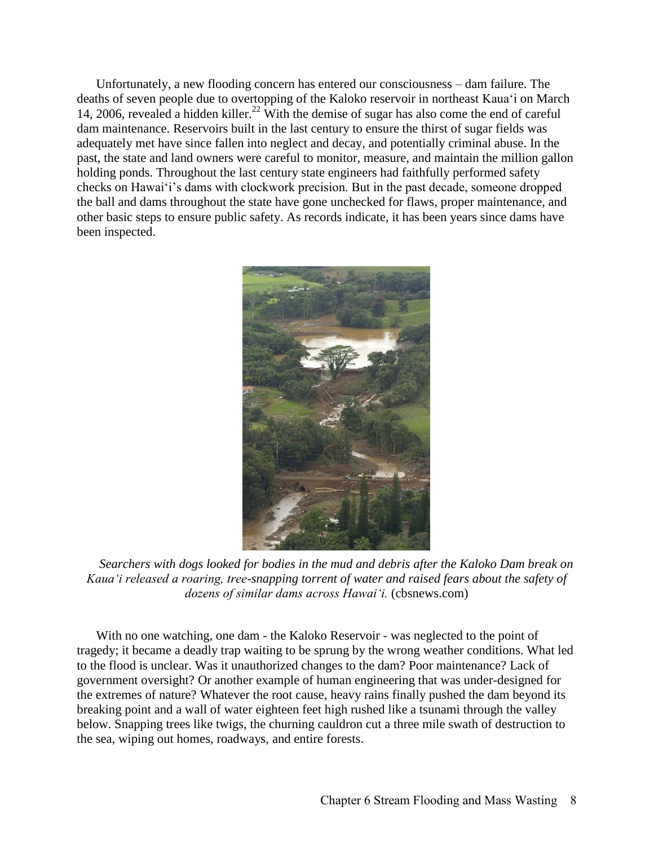Unfortunately, a new flooding concern has entered our consciousness – dam failure. The deaths of seven people due to overtopping of the Kaloko reservoir in northeast Kaua"i on March 14, 2006, revealed a hidden killer.<sup>22</sup> With the demise of sugar has also come the end of careful dam maintenance. Reservoirs built in the last century to ensure the thirst of sugar fields was adequately met have since fallen into neglect and decay, and potentially criminal abuse. In the past, the state and land owners were careful to monitor, measure, and maintain the million gallon holding ponds. Throughout the last century state engineers had faithfully performed safety checks on Hawai'i's dams with clockwork precision. But in the past decade, someone dropped the ball and dams throughout the state have gone unchecked for flaws, proper maintenance, and other basic steps to ensure public safety. As records indicate, it has been years since dams have been inspected.



*Searchers with dogs looked for bodies in the mud and debris after the Kaloko Dam break on Kaua"i released a roaring, tree-snapping torrent of water and raised fears about the safety of dozens of similar dams across Hawai"i.* (cbsnews.com)

With no one watching, one dam - the Kaloko Reservoir - was neglected to the point of tragedy; it became a deadly trap waiting to be sprung by the wrong weather conditions. What led to the flood is unclear. Was it unauthorized changes to the dam? Poor maintenance? Lack of government oversight? Or another example of human engineering that was under-designed for the extremes of nature? Whatever the root cause, heavy rains finally pushed the dam beyond its breaking point and a wall of water eighteen feet high rushed like a tsunami through the valley below. Snapping trees like twigs, the churning cauldron cut a three mile swath of destruction to the sea, wiping out homes, roadways, and entire forests.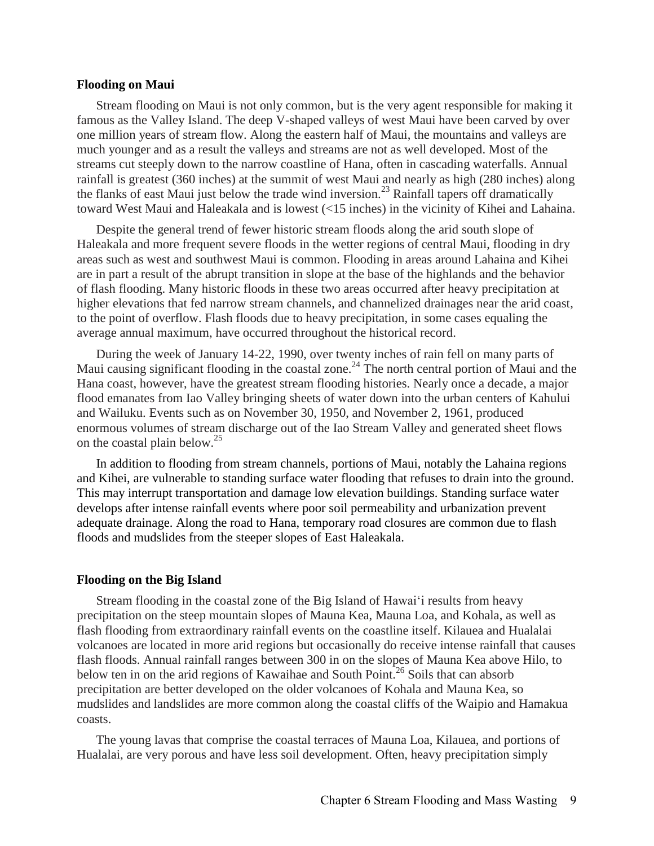#### **Flooding on Maui**

Stream flooding on Maui is not only common, but is the very agent responsible for making it famous as the Valley Island. The deep V-shaped valleys of west Maui have been carved by over one million years of stream flow. Along the eastern half of Maui, the mountains and valleys are much younger and as a result the valleys and streams are not as well developed. Most of the streams cut steeply down to the narrow coastline of Hana, often in cascading waterfalls. Annual rainfall is greatest (360 inches) at the summit of west Maui and nearly as high (280 inches) along the flanks of east Maui just below the trade wind inversion.<sup>23</sup> Rainfall tapers off dramatically toward West Maui and Haleakala and is lowest (<15 inches) in the vicinity of Kihei and Lahaina.

Despite the general trend of fewer historic stream floods along the arid south slope of Haleakala and more frequent severe floods in the wetter regions of central Maui, flooding in dry areas such as west and southwest Maui is common. Flooding in areas around Lahaina and Kihei are in part a result of the abrupt transition in slope at the base of the highlands and the behavior of flash flooding. Many historic floods in these two areas occurred after heavy precipitation at higher elevations that fed narrow stream channels, and channelized drainages near the arid coast, to the point of overflow. Flash floods due to heavy precipitation, in some cases equaling the average annual maximum, have occurred throughout the historical record.

During the week of January 14-22, 1990, over twenty inches of rain fell on many parts of Maui causing significant flooding in the coastal zone.<sup>24</sup> The north central portion of Maui and the Hana coast, however, have the greatest stream flooding histories. Nearly once a decade, a major flood emanates from Iao Valley bringing sheets of water down into the urban centers of Kahului and Wailuku. Events such as on November 30, 1950, and November 2, 1961, produced enormous volumes of stream discharge out of the Iao Stream Valley and generated sheet flows on the coastal plain below.<sup>25</sup>

In addition to flooding from stream channels, portions of Maui, notably the Lahaina regions and Kihei, are vulnerable to standing surface water flooding that refuses to drain into the ground. This may interrupt transportation and damage low elevation buildings. Standing surface water develops after intense rainfall events where poor soil permeability and urbanization prevent adequate drainage. Along the road to Hana, temporary road closures are common due to flash floods and mudslides from the steeper slopes of East Haleakala.

#### **Flooding on the Big Island**

Stream flooding in the coastal zone of the Big Island of Hawai"i results from heavy precipitation on the steep mountain slopes of Mauna Kea, Mauna Loa, and Kohala, as well as flash flooding from extraordinary rainfall events on the coastline itself. Kilauea and Hualalai volcanoes are located in more arid regions but occasionally do receive intense rainfall that causes flash floods. Annual rainfall ranges between 300 in on the slopes of Mauna Kea above Hilo, to below ten in on the arid regions of Kawaihae and South Point.<sup>26</sup> Soils that can absorb precipitation are better developed on the older volcanoes of Kohala and Mauna Kea, so mudslides and landslides are more common along the coastal cliffs of the Waipio and Hamakua coasts.

The young lavas that comprise the coastal terraces of Mauna Loa, Kilauea, and portions of Hualalai, are very porous and have less soil development. Often, heavy precipitation simply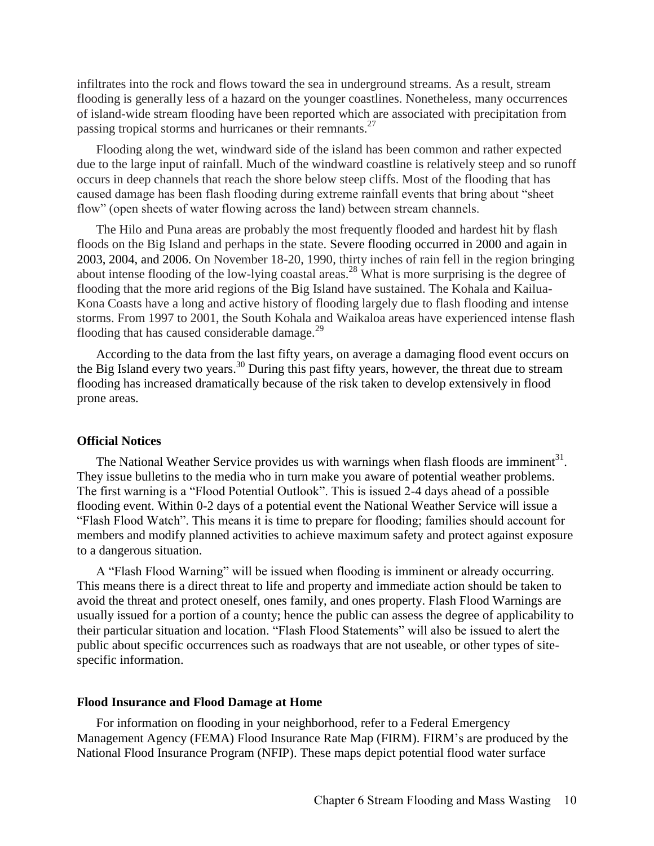infiltrates into the rock and flows toward the sea in underground streams. As a result, stream flooding is generally less of a hazard on the younger coastlines. Nonetheless, many occurrences of island-wide stream flooding have been reported which are associated with precipitation from passing tropical storms and hurricanes or their remnants.<sup>27</sup>

Flooding along the wet, windward side of the island has been common and rather expected due to the large input of rainfall. Much of the windward coastline is relatively steep and so runoff occurs in deep channels that reach the shore below steep cliffs. Most of the flooding that has caused damage has been flash flooding during extreme rainfall events that bring about "sheet flow" (open sheets of water flowing across the land) between stream channels.

The Hilo and Puna areas are probably the most frequently flooded and hardest hit by flash floods on the Big Island and perhaps in the state. Severe flooding occurred in 2000 and again in 2003, 2004, and 2006. On November 18-20, 1990, thirty inches of rain fell in the region bringing about intense flooding of the low-lying coastal areas.<sup>28</sup> What is more surprising is the degree of flooding that the more arid regions of the Big Island have sustained. The Kohala and Kailua-Kona Coasts have a long and active history of flooding largely due to flash flooding and intense storms. From 1997 to 2001, the South Kohala and Waikaloa areas have experienced intense flash flooding that has caused considerable damage. $^{29}$ 

According to the data from the last fifty years, on average a damaging flood event occurs on the Big Island every two years.<sup>30</sup> During this past fifty years, however, the threat due to stream flooding has increased dramatically because of the risk taken to develop extensively in flood prone areas.

# **Official Notices**

The National Weather Service provides us with warnings when flash floods are imminent $^{31}$ . They issue bulletins to the media who in turn make you aware of potential weather problems. The first warning is a "Flood Potential Outlook". This is issued 2-4 days ahead of a possible flooding event. Within 0-2 days of a potential event the National Weather Service will issue a "Flash Flood Watch". This means it is time to prepare for flooding; families should account for members and modify planned activities to achieve maximum safety and protect against exposure to a dangerous situation.

A "Flash Flood Warning" will be issued when flooding is imminent or already occurring. This means there is a direct threat to life and property and immediate action should be taken to avoid the threat and protect oneself, ones family, and ones property. Flash Flood Warnings are usually issued for a portion of a county; hence the public can assess the degree of applicability to their particular situation and location. "Flash Flood Statements" will also be issued to alert the public about specific occurrences such as roadways that are not useable, or other types of sitespecific information.

## **Flood Insurance and Flood Damage at Home**

For information on flooding in your neighborhood, refer to a Federal Emergency Management Agency (FEMA) Flood Insurance Rate Map (FIRM). FIRM"s are produced by the National Flood Insurance Program (NFIP). These maps depict potential flood water surface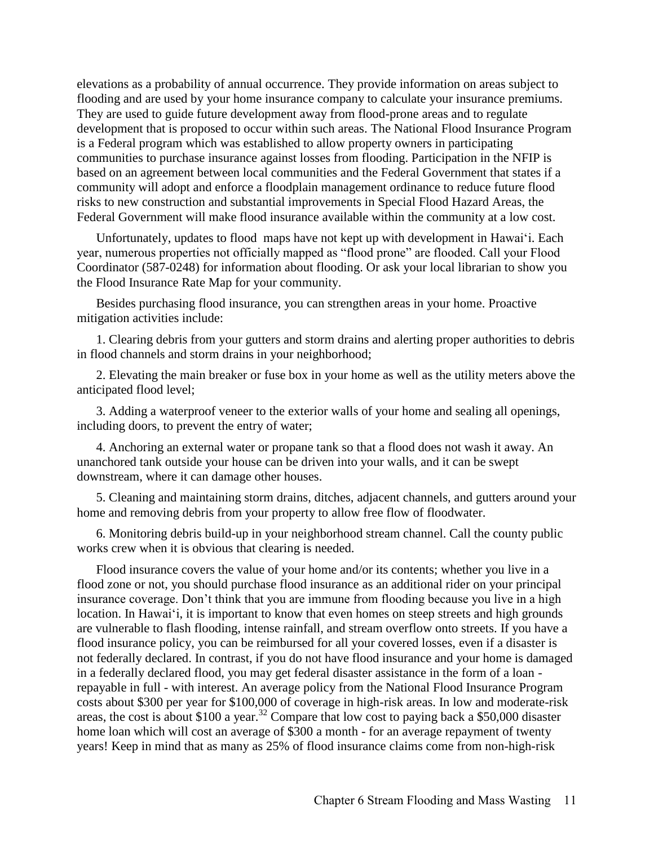elevations as a probability of annual occurrence. They provide information on areas subject to flooding and are used by your home insurance company to calculate your insurance premiums. They are used to guide future development away from flood-prone areas and to regulate development that is proposed to occur within such areas. The National Flood Insurance Program is a Federal program which was established to allow property owners in participating communities to purchase insurance against losses from flooding. Participation in the NFIP is based on an agreement between local communities and the Federal Government that states if a community will adopt and enforce a floodplain management ordinance to reduce future flood risks to new construction and substantial improvements in Special Flood Hazard Areas, the Federal Government will make flood insurance available within the community at a low cost.

Unfortunately, updates to flood maps have not kept up with development in Hawai"i. Each year, numerous properties not officially mapped as "flood prone" are flooded. Call your Flood Coordinator (587-0248) for information about flooding. Or ask your local librarian to show you the Flood Insurance Rate Map for your community.

Besides purchasing flood insurance, you can strengthen areas in your home. Proactive mitigation activities include:

1. Clearing debris from your gutters and storm drains and alerting proper authorities to debris in flood channels and storm drains in your neighborhood;

2. Elevating the main breaker or fuse box in your home as well as the utility meters above the anticipated flood level;

3. Adding a waterproof veneer to the exterior walls of your home and sealing all openings, including doors, to prevent the entry of water;

4. Anchoring an external water or propane tank so that a flood does not wash it away. An unanchored tank outside your house can be driven into your walls, and it can be swept downstream, where it can damage other houses.

5. Cleaning and maintaining storm drains, ditches, adjacent channels, and gutters around your home and removing debris from your property to allow free flow of floodwater.

6. Monitoring debris build-up in your neighborhood stream channel. Call the county public works crew when it is obvious that clearing is needed.

Flood insurance covers the value of your home and/or its contents; whether you live in a flood zone or not, you should purchase flood insurance as an additional rider on your principal insurance coverage. Don"t think that you are immune from flooding because you live in a high location. In Hawai'i, it is important to know that even homes on steep streets and high grounds are vulnerable to flash flooding, intense rainfall, and stream overflow onto streets. If you have a flood insurance policy, you can be reimbursed for all your covered losses, even if a disaster is not federally declared. In contrast, if you do not have flood insurance and your home is damaged in a federally declared flood, you may get federal disaster assistance in the form of a loan repayable in full - with interest. An average policy from the National Flood Insurance Program costs about \$300 per year for \$100,000 of coverage in high-risk areas. In low and moderate-risk areas, the cost is about \$100 a year.<sup>32</sup> Compare that low cost to paying back a \$50,000 disaster home loan which will cost an average of \$300 a month - for an average repayment of twenty years! Keep in mind that as many as 25% of flood insurance claims come from non-high-risk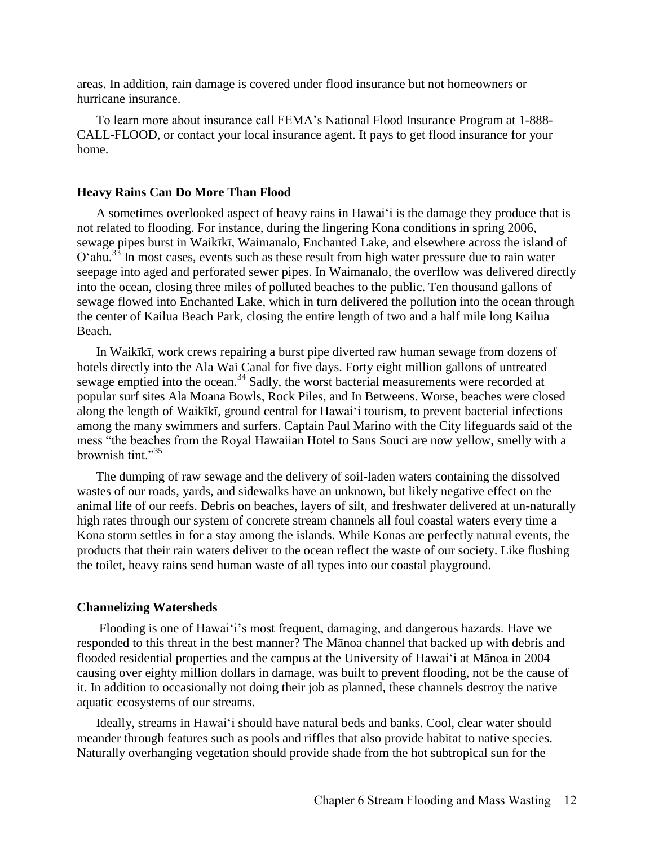areas. In addition, rain damage is covered under flood insurance but not homeowners or hurricane insurance.

To learn more about insurance call FEMA"s National Flood Insurance Program at 1-888- CALL-FLOOD, or contact your local insurance agent. It pays to get flood insurance for your home.

#### **Heavy Rains Can Do More Than Flood**

A sometimes overlooked aspect of heavy rains in Hawai"i is the damage they produce that is not related to flooding. For instance, during the lingering Kona conditions in spring 2006, sewage pipes burst in Waikīkī, Waimanalo, Enchanted Lake, and elsewhere across the island of  $O^{\prime}$ ahu.<sup>33</sup> In most cases, events such as these result from high water pressure due to rain water seepage into aged and perforated sewer pipes. In Waimanalo, the overflow was delivered directly into the ocean, closing three miles of polluted beaches to the public. Ten thousand gallons of sewage flowed into Enchanted Lake, which in turn delivered the pollution into the ocean through the center of Kailua Beach Park, closing the entire length of two and a half mile long Kailua Beach.

In Waikīkī, work crews repairing a burst pipe diverted raw human sewage from dozens of hotels directly into the Ala Wai Canal for five days. Forty eight million gallons of untreated sewage emptied into the ocean.<sup>34</sup> Sadly, the worst bacterial measurements were recorded at popular surf sites Ala Moana Bowls, Rock Piles, and In Betweens. Worse, beaches were closed along the length of Waikīkī, ground central for Hawai"i tourism, to prevent bacterial infections among the many swimmers and surfers. Captain Paul Marino with the City lifeguards said of the mess "the beaches from the Royal Hawaiian Hotel to Sans Souci are now yellow, smelly with a brownish tint<sup>"35</sup>

The dumping of raw sewage and the delivery of soil-laden waters containing the dissolved wastes of our roads, yards, and sidewalks have an unknown, but likely negative effect on the animal life of our reefs. Debris on beaches, layers of silt, and freshwater delivered at un-naturally high rates through our system of concrete stream channels all foul coastal waters every time a Kona storm settles in for a stay among the islands. While Konas are perfectly natural events, the products that their rain waters deliver to the ocean reflect the waste of our society. Like flushing the toilet, heavy rains send human waste of all types into our coastal playground.

## **Channelizing Watersheds**

Flooding is one of Hawai'i's most frequent, damaging, and dangerous hazards. Have we responded to this threat in the best manner? The Mānoa channel that backed up with debris and flooded residential properties and the campus at the University of Hawai"i at Mānoa in 2004 causing over eighty million dollars in damage, was built to prevent flooding, not be the cause of it. In addition to occasionally not doing their job as planned, these channels destroy the native aquatic ecosystems of our streams.

Ideally, streams in Hawai"i should have natural beds and banks. Cool, clear water should meander through features such as pools and riffles that also provide habitat to native species. Naturally overhanging vegetation should provide shade from the hot subtropical sun for the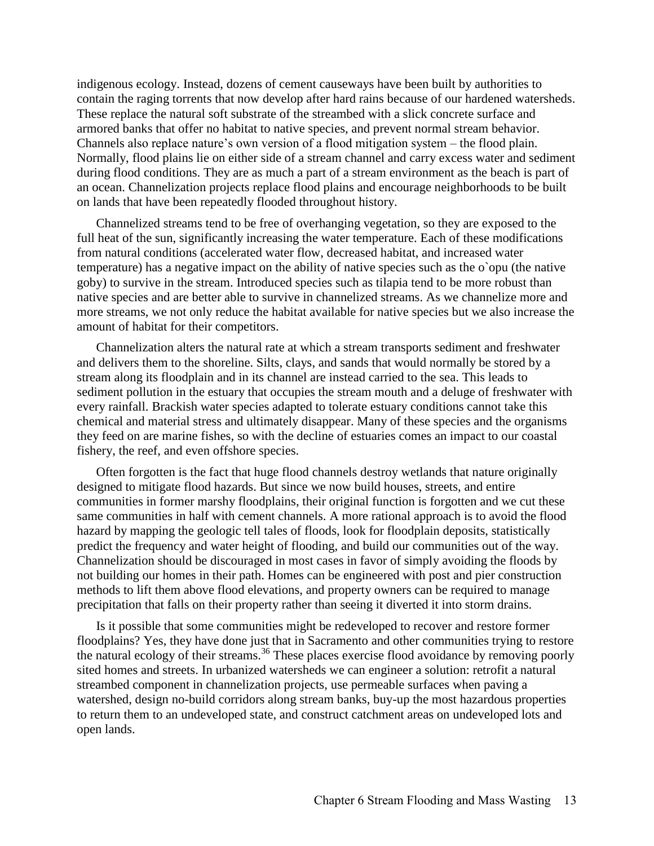indigenous ecology. Instead, dozens of cement causeways have been built by authorities to contain the raging torrents that now develop after hard rains because of our hardened watersheds. These replace the natural soft substrate of the streambed with a slick concrete surface and armored banks that offer no habitat to native species, and prevent normal stream behavior. Channels also replace nature's own version of a flood mitigation system – the flood plain. Normally, flood plains lie on either side of a stream channel and carry excess water and sediment during flood conditions. They are as much a part of a stream environment as the beach is part of an ocean. Channelization projects replace flood plains and encourage neighborhoods to be built on lands that have been repeatedly flooded throughout history.

Channelized streams tend to be free of overhanging vegetation, so they are exposed to the full heat of the sun, significantly increasing the water temperature. Each of these modifications from natural conditions (accelerated water flow, decreased habitat, and increased water temperature) has a negative impact on the ability of native species such as the o`opu (the native goby) to survive in the stream. Introduced species such as tilapia tend to be more robust than native species and are better able to survive in channelized streams. As we channelize more and more streams, we not only reduce the habitat available for native species but we also increase the amount of habitat for their competitors.

Channelization alters the natural rate at which a stream transports sediment and freshwater and delivers them to the shoreline. Silts, clays, and sands that would normally be stored by a stream along its floodplain and in its channel are instead carried to the sea. This leads to sediment pollution in the estuary that occupies the stream mouth and a deluge of freshwater with every rainfall. Brackish water species adapted to tolerate estuary conditions cannot take this chemical and material stress and ultimately disappear. Many of these species and the organisms they feed on are marine fishes, so with the decline of estuaries comes an impact to our coastal fishery, the reef, and even offshore species.

Often forgotten is the fact that huge flood channels destroy wetlands that nature originally designed to mitigate flood hazards. But since we now build houses, streets, and entire communities in former marshy floodplains, their original function is forgotten and we cut these same communities in half with cement channels. A more rational approach is to avoid the flood hazard by mapping the geologic tell tales of floods, look for floodplain deposits, statistically predict the frequency and water height of flooding, and build our communities out of the way. Channelization should be discouraged in most cases in favor of simply avoiding the floods by not building our homes in their path. Homes can be engineered with post and pier construction methods to lift them above flood elevations, and property owners can be required to manage precipitation that falls on their property rather than seeing it diverted it into storm drains.

Is it possible that some communities might be redeveloped to recover and restore former floodplains? Yes, they have done just that in Sacramento and other communities trying to restore the natural ecology of their streams.<sup>36</sup> These places exercise flood avoidance by removing poorly sited homes and streets. In urbanized watersheds we can engineer a solution: retrofit a natural streambed component in channelization projects, use permeable surfaces when paving a watershed, design no-build corridors along stream banks, buy-up the most hazardous properties to return them to an undeveloped state, and construct catchment areas on undeveloped lots and open lands.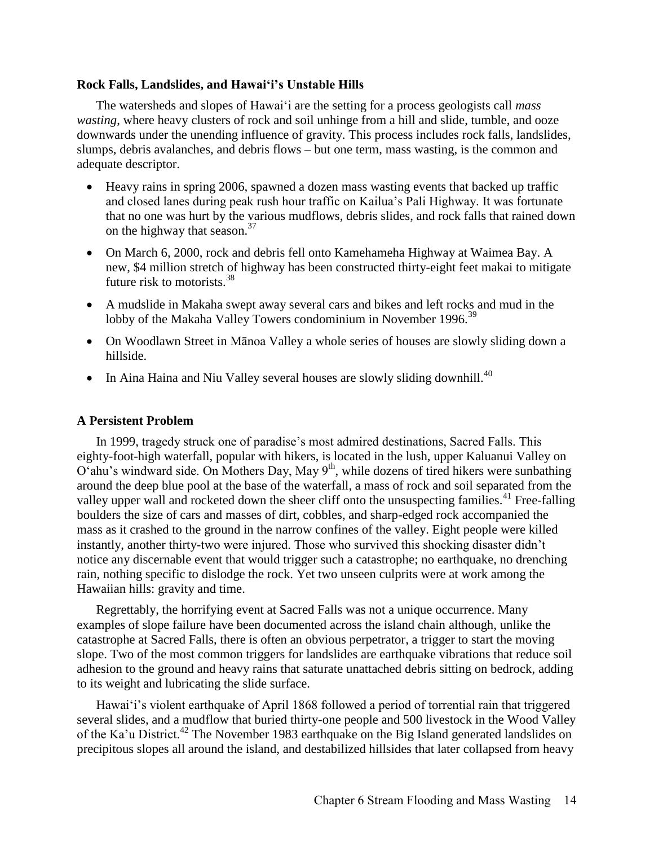# **Rock Falls, Landslides, and Hawai"i"s Unstable Hills**

The watersheds and slopes of Hawai"i are the setting for a process geologists call *mass wasting*, where heavy clusters of rock and soil unhinge from a hill and slide, tumble, and ooze downwards under the unending influence of gravity. This process includes rock falls, landslides, slumps, debris avalanches, and debris flows – but one term, mass wasting, is the common and adequate descriptor.

- Heavy rains in spring 2006, spawned a dozen mass wasting events that backed up traffic and closed lanes during peak rush hour traffic on Kailua"s Pali Highway. It was fortunate that no one was hurt by the various mudflows, debris slides, and rock falls that rained down on the highway that season.<sup>37</sup>
- On March 6, 2000, rock and debris fell onto Kamehameha Highway at Waimea Bay. A new, \$4 million stretch of highway has been constructed thirty-eight feet makai to mitigate future risk to motorists.<sup>38</sup>
- A mudslide in Makaha swept away several cars and bikes and left rocks and mud in the lobby of the Makaha Valley Towers condominium in November 1996.<sup>39</sup>
- On Woodlawn Street in Mānoa Valley a whole series of houses are slowly sliding down a hillside.
- $\bullet$  In Aina Haina and Niu Valley several houses are slowly sliding downhill.<sup>40</sup>

# **A Persistent Problem**

In 1999, tragedy struck one of paradise's most admired destinations, Sacred Falls. This eighty-foot-high waterfall, popular with hikers, is located in the lush, upper Kaluanui Valley on  $O^{\epsilon}$ ahu's windward side. On Mothers Day, May  $9^{\text{th}}$ , while dozens of tired hikers were sunbathing around the deep blue pool at the base of the waterfall, a mass of rock and soil separated from the valley upper wall and rocketed down the sheer cliff onto the unsuspecting families.<sup>41</sup> Free-falling boulders the size of cars and masses of dirt, cobbles, and sharp-edged rock accompanied the mass as it crashed to the ground in the narrow confines of the valley. Eight people were killed instantly, another thirty-two were injured. Those who survived this shocking disaster didn"t notice any discernable event that would trigger such a catastrophe; no earthquake, no drenching rain, nothing specific to dislodge the rock. Yet two unseen culprits were at work among the Hawaiian hills: gravity and time.

Regrettably, the horrifying event at Sacred Falls was not a unique occurrence. Many examples of slope failure have been documented across the island chain although, unlike the catastrophe at Sacred Falls, there is often an obvious perpetrator, a trigger to start the moving slope. Two of the most common triggers for landslides are earthquake vibrations that reduce soil adhesion to the ground and heavy rains that saturate unattached debris sitting on bedrock, adding to its weight and lubricating the slide surface.

Hawai'i's violent earthquake of April 1868 followed a period of torrential rain that triggered several slides, and a mudflow that buried thirty-one people and 500 livestock in the Wood Valley of the Ka'u District.<sup>42</sup> The November 1983 earthquake on the Big Island generated landslides on precipitous slopes all around the island, and destabilized hillsides that later collapsed from heavy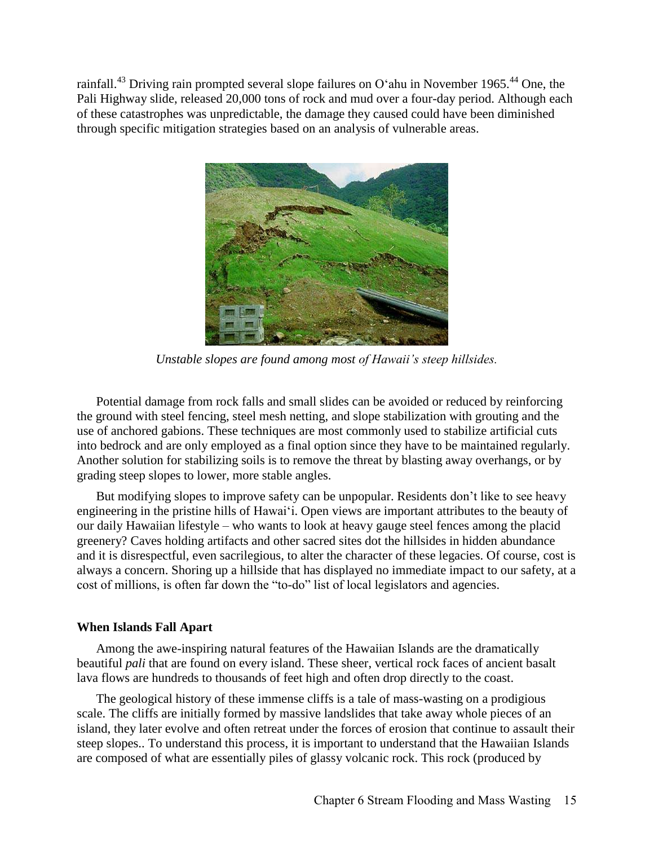rainfall.<sup>43</sup> Driving rain prompted several slope failures on O'ahu in November 1965.<sup>44</sup> One, the Pali Highway slide, released 20,000 tons of rock and mud over a four-day period. Although each of these catastrophes was unpredictable, the damage they caused could have been diminished through specific mitigation strategies based on an analysis of vulnerable areas.



*Unstable slopes are found among most of Hawaii"s steep hillsides.* 

Potential damage from rock falls and small slides can be avoided or reduced by reinforcing the ground with steel fencing, steel mesh netting, and slope stabilization with grouting and the use of anchored gabions. These techniques are most commonly used to stabilize artificial cuts into bedrock and are only employed as a final option since they have to be maintained regularly. Another solution for stabilizing soils is to remove the threat by blasting away overhangs, or by grading steep slopes to lower, more stable angles.

But modifying slopes to improve safety can be unpopular. Residents don"t like to see heavy engineering in the pristine hills of Hawai"i. Open views are important attributes to the beauty of our daily Hawaiian lifestyle – who wants to look at heavy gauge steel fences among the placid greenery? Caves holding artifacts and other sacred sites dot the hillsides in hidden abundance and it is disrespectful, even sacrilegious, to alter the character of these legacies. Of course, cost is always a concern. Shoring up a hillside that has displayed no immediate impact to our safety, at a cost of millions, is often far down the "to-do" list of local legislators and agencies.

# **When Islands Fall Apart**

Among the awe-inspiring natural features of the Hawaiian Islands are the dramatically beautiful *pali* that are found on every island. These sheer, vertical rock faces of ancient basalt lava flows are hundreds to thousands of feet high and often drop directly to the coast.

The geological history of these immense cliffs is a tale of mass-wasting on a prodigious scale. The cliffs are initially formed by massive landslides that take away whole pieces of an island, they later evolve and often retreat under the forces of erosion that continue to assault their steep slopes.. To understand this process, it is important to understand that the Hawaiian Islands are composed of what are essentially piles of glassy volcanic rock. This rock (produced by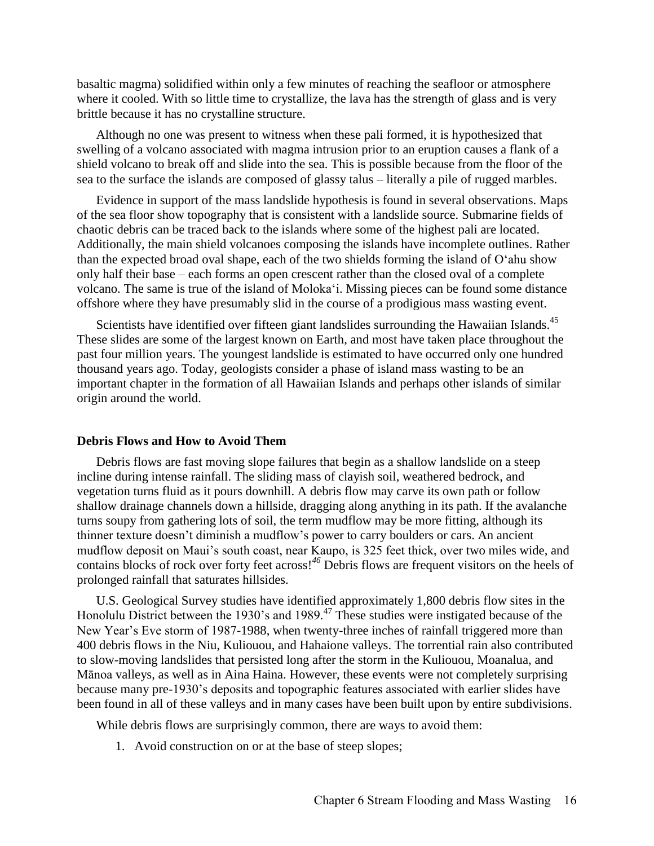basaltic magma) solidified within only a few minutes of reaching the seafloor or atmosphere where it cooled. With so little time to crystallize, the lava has the strength of glass and is very brittle because it has no crystalline structure.

Although no one was present to witness when these pali formed, it is hypothesized that swelling of a volcano associated with magma intrusion prior to an eruption causes a flank of a shield volcano to break off and slide into the sea. This is possible because from the floor of the sea to the surface the islands are composed of glassy talus – literally a pile of rugged marbles.

Evidence in support of the mass landslide hypothesis is found in several observations. Maps of the sea floor show topography that is consistent with a landslide source. Submarine fields of chaotic debris can be traced back to the islands where some of the highest pali are located. Additionally, the main shield volcanoes composing the islands have incomplete outlines. Rather than the expected broad oval shape, each of the two shields forming the island of O"ahu show only half their base – each forms an open crescent rather than the closed oval of a complete volcano. The same is true of the island of Moloka"i. Missing pieces can be found some distance offshore where they have presumably slid in the course of a prodigious mass wasting event.

Scientists have identified over fifteen giant landslides surrounding the Hawaiian Islands.<sup>45</sup> These slides are some of the largest known on Earth, and most have taken place throughout the past four million years. The youngest landslide is estimated to have occurred only one hundred thousand years ago. Today, geologists consider a phase of island mass wasting to be an important chapter in the formation of all Hawaiian Islands and perhaps other islands of similar origin around the world.

#### **Debris Flows and How to Avoid Them**

Debris flows are fast moving slope failures that begin as a shallow landslide on a steep incline during intense rainfall. The sliding mass of clayish soil, weathered bedrock, and vegetation turns fluid as it pours downhill. A debris flow may carve its own path or follow shallow drainage channels down a hillside, dragging along anything in its path. If the avalanche turns soupy from gathering lots of soil, the term mudflow may be more fitting, although its thinner texture doesn"t diminish a mudflow"s power to carry boulders or cars. An ancient mudflow deposit on Maui"s south coast, near Kaupo, is 325 feet thick, over two miles wide, and contains blocks of rock over forty feet across!*<sup>46</sup>* Debris flows are frequent visitors on the heels of prolonged rainfall that saturates hillsides.

U.S. Geological Survey studies have identified approximately 1,800 debris flow sites in the Honolulu District between the 1930's and 1989.<sup>47</sup> These studies were instigated because of the New Year's Eve storm of 1987-1988, when twenty-three inches of rainfall triggered more than 400 debris flows in the Niu, Kuliouou, and Hahaione valleys. The torrential rain also contributed to slow-moving landslides that persisted long after the storm in the Kuliouou, Moanalua, and Mānoa valleys, as well as in Aina Haina. However, these events were not completely surprising because many pre-1930"s deposits and topographic features associated with earlier slides have been found in all of these valleys and in many cases have been built upon by entire subdivisions.

While debris flows are surprisingly common, there are ways to avoid them:

1. Avoid construction on or at the base of steep slopes;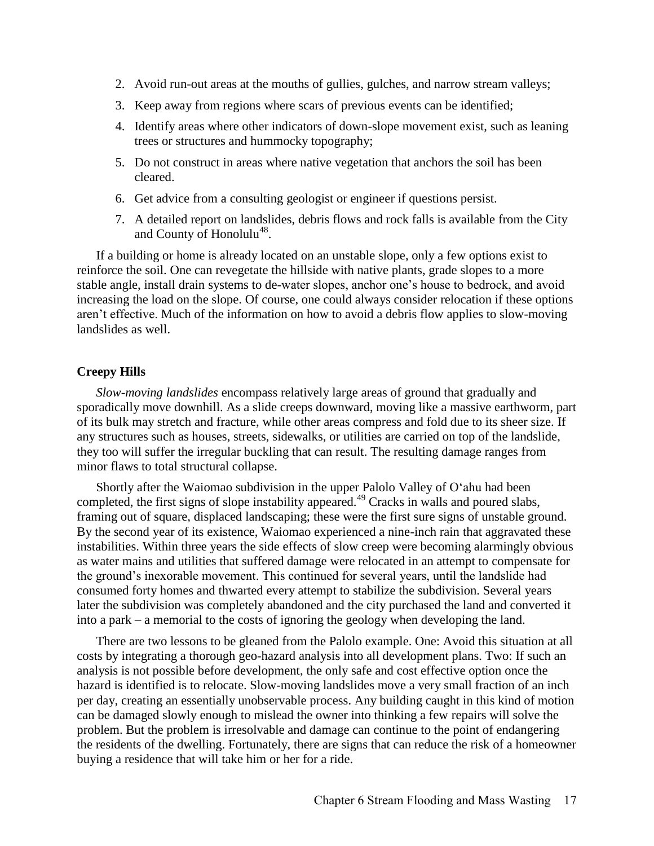- 2. Avoid run-out areas at the mouths of gullies, gulches, and narrow stream valleys;
- 3. Keep away from regions where scars of previous events can be identified;
- 4. Identify areas where other indicators of down-slope movement exist, such as leaning trees or structures and hummocky topography;
- 5. Do not construct in areas where native vegetation that anchors the soil has been cleared.
- 6. Get advice from a consulting geologist or engineer if questions persist.
- 7. A detailed report on landslides, debris flows and rock falls is available from the City and County of Honolulu<sup>48</sup>.

If a building or home is already located on an unstable slope, only a few options exist to reinforce the soil. One can revegetate the hillside with native plants, grade slopes to a more stable angle, install drain systems to de-water slopes, anchor one"s house to bedrock, and avoid increasing the load on the slope. Of course, one could always consider relocation if these options aren"t effective. Much of the information on how to avoid a debris flow applies to slow-moving landslides as well.

# **Creepy Hills**

*Slow-moving landslides* encompass relatively large areas of ground that gradually and sporadically move downhill. As a slide creeps downward, moving like a massive earthworm, part of its bulk may stretch and fracture, while other areas compress and fold due to its sheer size. If any structures such as houses, streets, sidewalks, or utilities are carried on top of the landslide, they too will suffer the irregular buckling that can result. The resulting damage ranges from minor flaws to total structural collapse.

Shortly after the Waiomao subdivision in the upper Palolo Valley of O"ahu had been completed, the first signs of slope instability appeared.<sup>49</sup> Cracks in walls and poured slabs, framing out of square, displaced landscaping; these were the first sure signs of unstable ground. By the second year of its existence, Waiomao experienced a nine-inch rain that aggravated these instabilities. Within three years the side effects of slow creep were becoming alarmingly obvious as water mains and utilities that suffered damage were relocated in an attempt to compensate for the ground"s inexorable movement. This continued for several years, until the landslide had consumed forty homes and thwarted every attempt to stabilize the subdivision. Several years later the subdivision was completely abandoned and the city purchased the land and converted it into a park – a memorial to the costs of ignoring the geology when developing the land.

There are two lessons to be gleaned from the Palolo example. One: Avoid this situation at all costs by integrating a thorough geo-hazard analysis into all development plans. Two: If such an analysis is not possible before development, the only safe and cost effective option once the hazard is identified is to relocate. Slow-moving landslides move a very small fraction of an inch per day, creating an essentially unobservable process. Any building caught in this kind of motion can be damaged slowly enough to mislead the owner into thinking a few repairs will solve the problem. But the problem is irresolvable and damage can continue to the point of endangering the residents of the dwelling. Fortunately, there are signs that can reduce the risk of a homeowner buying a residence that will take him or her for a ride.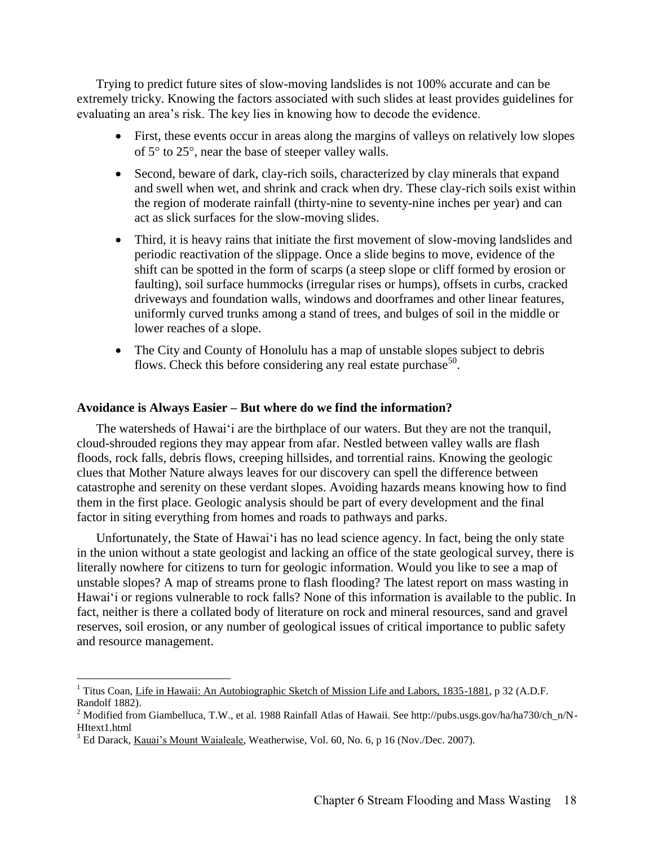Trying to predict future sites of slow-moving landslides is not 100% accurate and can be extremely tricky. Knowing the factors associated with such slides at least provides guidelines for evaluating an area"s risk. The key lies in knowing how to decode the evidence.

- First, these events occur in areas along the margins of valleys on relatively low slopes of  $5^{\circ}$  to  $25^{\circ}$ , near the base of steeper valley walls.
- Second, beware of dark, clay-rich soils, characterized by clay minerals that expand and swell when wet, and shrink and crack when dry. These clay-rich soils exist within the region of moderate rainfall (thirty-nine to seventy-nine inches per year) and can act as slick surfaces for the slow-moving slides.
- Third, it is heavy rains that initiate the first movement of slow-moving landslides and periodic reactivation of the slippage. Once a slide begins to move, evidence of the shift can be spotted in the form of scarps (a steep slope or cliff formed by erosion or faulting), soil surface hummocks (irregular rises or humps), offsets in curbs, cracked driveways and foundation walls, windows and doorframes and other linear features, uniformly curved trunks among a stand of trees, and bulges of soil in the middle or lower reaches of a slope.
- The City and County of Honolulu has a map of unstable slopes subject to debris flows. Check this before considering any real estate purchase<sup>50</sup>.

# **Avoidance is Always Easier – But where do we find the information?**

The watersheds of Hawai'i are the birthplace of our waters. But they are not the tranquil, cloud-shrouded regions they may appear from afar. Nestled between valley walls are flash floods, rock falls, debris flows, creeping hillsides, and torrential rains. Knowing the geologic clues that Mother Nature always leaves for our discovery can spell the difference between catastrophe and serenity on these verdant slopes. Avoiding hazards means knowing how to find them in the first place. Geologic analysis should be part of every development and the final factor in siting everything from homes and roads to pathways and parks.

Unfortunately, the State of Hawai"i has no lead science agency. In fact, being the only state in the union without a state geologist and lacking an office of the state geological survey, there is literally nowhere for citizens to turn for geologic information. Would you like to see a map of unstable slopes? A map of streams prone to flash flooding? The latest report on mass wasting in Hawai'i or regions vulnerable to rock falls? None of this information is available to the public. In fact, neither is there a collated body of literature on rock and mineral resources, sand and gravel reserves, soil erosion, or any number of geological issues of critical importance to public safety and resource management.

 $\overline{a}$ 

<sup>&</sup>lt;sup>1</sup> Titus Coan, Life in Hawaii: An Autobiographic Sketch of Mission Life and Labors, 1835-1881, p 32 (A.D.F. Randolf 1882).

<sup>&</sup>lt;sup>2</sup> Modified from Giambelluca, T.W., et al. 1988 Rainfall Atlas of Hawaii. See http://pubs.usgs.gov/ha/ha730/ch\_n/N-HItext1.html

<sup>&</sup>lt;sup>3</sup> Ed Darack, <u>Kauai's Mount Waialeale</u>, Weatherwise, Vol. 60, No. 6, p 16 (Nov./Dec. 2007).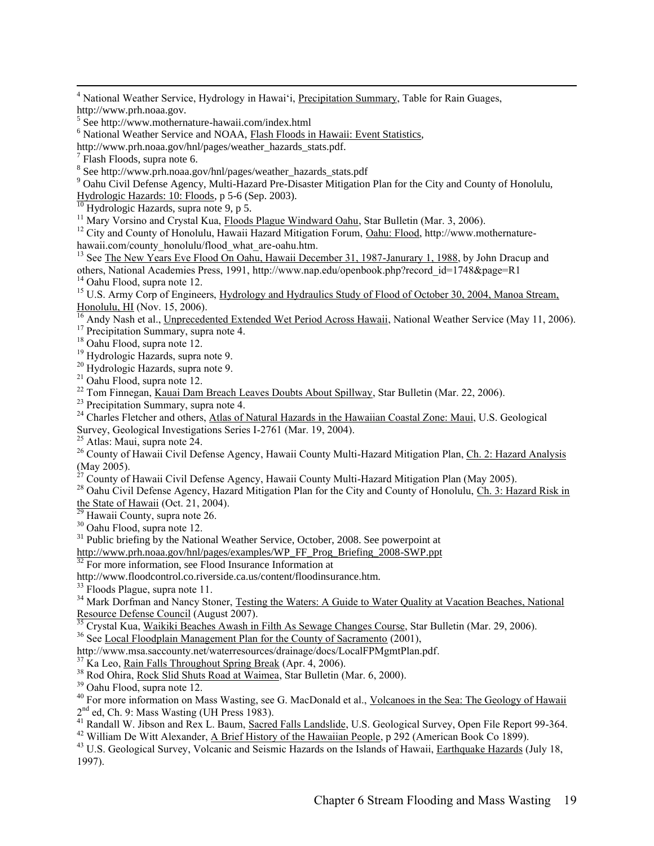<sup>4</sup> National Weather Service, Hydrology in Hawai'i, Precipitation Summary, Table for Rain Guages, http://www.prh.noaa.gov.

<sup>5</sup> See http://www.mothernature-hawaii.com/index.html

<sup>6</sup> National Weather Service and NOAA, Flash Floods in Hawaii: Event Statistics,

http://www.prh.noaa.gov/hnl/pages/weather\_hazards\_stats.pdf.

 $\overline{a}$ 

8 See http://www.prh.noaa.gov/hnl/pages/weather\_hazards\_stats.pdf

<sup>9</sup> Oahu Civil Defense Agency, Multi-Hazard Pre-Disaster Mitigation Plan for the City and County of Honolulu, Hydrologic Hazards: 10: Floods, p 5-6 (Sep. 2003).

<sup>10</sup> Hydrologic Hazards, supra note 9, p 5.

<sup>11</sup> Mary Vorsino and Crystal Kua, Floods Plague Windward Oahu, Star Bulletin (Mar. 3, 2006).

<sup>12</sup> City and County of Honolulu, Hawaii Hazard Mitigation Forum, Oahu: Flood, http://www.mothernaturehawaii.com/county\_honolulu/flood\_what\_are-oahu.htm.

<sup>13</sup> See The New Years Eve Flood On Oahu, Hawaii December 31, 1987-Janurary 1, 1988, by John Dracup and others, National Academies Press, 1991, http://www.nap.edu/openbook.php?record\_id=1748&page=R1

<sup>14</sup> Oahu Flood, supra note 12.

<sup>15</sup> U.S. Army Corp of Engineers, Hydrology and Hydraulics Study of Flood of October 30, 2004, Manoa Stream, Honolulu, HI (Nov. 15, 2006).

<sup>16</sup> Andy Nash et al., Unprecedented Extended Wet Period Across Hawaii, National Weather Service (May 11, 2006).

<sup>17</sup> Precipitation Summary, supra note 4.

<sup>18</sup> Oahu Flood, supra note 12.

<sup>19</sup> Hydrologic Hazards, supra note 9.

<sup>20</sup> Hydrologic Hazards, supra note 9.

<sup>21</sup> Oahu Flood, supra note 12.

<sup>22</sup> Tom Finnegan, <u>Kauai Dam Breach Leaves Doubts About Sp</u>illway, Star Bulletin (Mar. 22, 2006).

<sup>23</sup> Precipitation Summary, supra note 4.

<sup>24</sup> Charles Fletcher and others, Atlas of Natural Hazards in the Hawaiian Coastal Zone: Maui, U.S. Geological Survey, Geological Investigations Series I-2761 (Mar. 19, 2004).

 $25$  Atlas: Maui, supra note 24.

<sup>26</sup> County of Hawaii Civil Defense Agency, Hawaii County Multi-Hazard Mitigation Plan, Ch. 2: Hazard Analysis (May 2005).

 $^{27}$  County of Hawaii Civil Defense Agency, Hawaii County Multi-Hazard Mitigation Plan (May 2005).

<sup>28</sup> Oahu Civil Defense Agency, Hazard Mitigation Plan for the City and County of Honolulu, Ch. 3: Hazard Risk in the State of Hawaii (Oct. 21, 2004).

Hawaii County, supra note 26.

<sup>30</sup> Oahu Flood, supra note 12.

 $31$  Public briefing by the National Weather Service, October, 2008. See powerpoint at

[http://www.prh.noaa.gov/hnl/pages/examples/WP\\_FF\\_Prog\\_Briefing\\_2008-SWP.ppt](http://www.prh.noaa.gov/hnl/pages/examples/WP_FF_Prog_Briefing_2008-SWP.ppt)

<sup>32</sup> For more information, see Flood Insurance Information at

http://www.floodcontrol.co.riverside.ca.us/content/floodinsurance.htm.

<sup>33</sup> Floods Plague, supra note 11.

<sup>34</sup> Mark Dorfman and Nancy Stoner, Testing the Waters: A Guide to Water Quality at Vacation Beaches, National Resource Defense Council (August 2007).

<sup>35</sup> Crystal Kua, Waikiki Beaches Awash in Filth As Sewage Changes Course, Star Bulletin (Mar. 29, 2006).

<sup>36</sup> See Local Floodplain Management Plan for the County of Sacramento (2001),

http://www.msa.saccounty.net/waterresources/drainage/docs/LocalFPMgmtPlan.pdf.

 $\frac{37}{37}$  Ka Leo, Rain Falls Throughout Spring Break (Apr. 4, 2006).

<sup>38</sup> Rod Ohira, Rock Slid Shuts Road at Waimea, Star Bulletin (Mar. 6, 2000).

<sup>39</sup> Oahu Flood, supra note 12.

<sup>40</sup> For more information on Mass Wasting, see G. MacDonald et al., Volcanoes in the Sea: The Geology of Hawaii 2<sup>nd</sup> ed, Ch. 9: Mass Wasting (UH Press 1983).

<sup>41</sup> Randall W. Jibson and Rex L. Baum, Sacred Falls Landslide, U.S. Geological Survey, Open File Report 99-364.

<sup>42</sup> William De Witt Alexander, A Brief History of the Hawaiian People, p 292 (American Book Co 1899).

<sup>43</sup> U.S. Geological Survey, Volcanic and Seismic Hazards on the Islands of Hawaii, Earthquake Hazards (July 18, 1997).

<sup>&</sup>lt;sup>7</sup> Flash Floods, supra note 6.